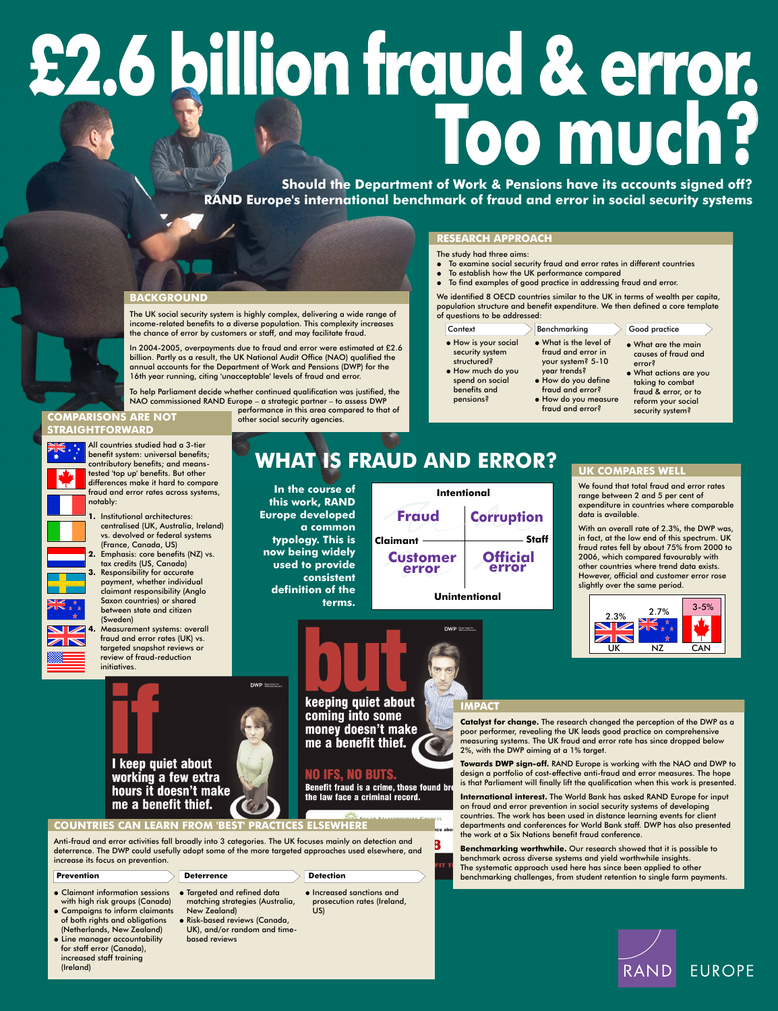# **£2.6 billion fraud & error.**  Should the Department of Work & Pensions have its accounts signed off?

**EXECUTE SHOULD SHOULD THE DEPARTMENT OF WORK & Pensions have its accounts signed off?**<br> **RAND Europe's international benchmark of fraud and error in social security systems** 

#### **BACKGROUND**

The UK social security system is highly complex, delivering a wide range of income-related benefits to a diverse population. This complexity increases the chance of error by customers or staff, and may facilitate fraud.

In 2004-2005, overpayments due to fraud and error were estimated at £2.6 billion. Partly as a result, the UK National Audit Office (NAO) qualified the annual accounts for the Department of Work and Pensions (DWP) for the 16th year running, citing 'unacceptable' levels of fraud and error.

We identified 8 OECD countries similar to the UK in terms of wealth per capita, population structure and benefit expenditure. We then defined a core template of questions to be addressed:

To help Parliament decide whether continued qualification was justified, the

NAO commissioned RAND Europe – a strategic partner – to assess DWP

performance in this area compared to that of other social security agencies.

#### **RESEARCH APPROACH**

The study had three aims:

- To examine social security fraud and error rates in different countries
- To establish how the UK performance compared
- To find examples of good practice in addressing fraud and error.

We found that total fraud and error rates range between 2 and 5 per cent of expenditure in countries where comparable data is available.

All countries studied had a 3-tier benefit system: universal benefits; contributory benefits; and meanstested 'top up' benefits. But other differences make it hard to compare fraud and error rates across systems, notably:

**1.** Institutional architectures: centralised (UK, Australia, Ireland) vs. devolved or federal systems (France, Canada, US) **2.** Emphasis: core benefits (NZ) vs. tax credits (US, Canada) **3.** Responsibility for accurate payment, whether individual claimant responsibility (Anglo Saxon countries) or shared between state and citizen (Sweden)



XK \* \*

**4.** Measurement systems: overall fraud and error rates (UK) vs. targeted snapshot reviews or review of fraud-reduction initiatives.

## **UK COMPARES WELL**

#### TH STAREODDSHIPE COUNCIL **COUNTRIES CAN LEARN FROM 'BEST' PRACTICES ELSEWHERE**

With an overall rate of 2.3%, the DWP was, in fact, at the low end of this spectrum. UK fraud rates fell by about 75% from 2000 to 2006, which compared favourably with other countries where trend data exists. However, official and customer error rose slightly over the same period.

#### **IMPACT**

**Ice abou** 

3

FIT.

**Catalyst for change.** The research changed the perception of the DWP as a poor performer, revealing the UK leads good practice on comprehensive measuring systems. The UK fraud and error rate has since dropped below 2%, with the DWP aiming at a 1% target.

**Towards DWP sign-off.** RAND Europe is working with the NAO and DWP to design a portfolio of cost-effective anti-fraud and error measures. The hope is that Parliament will finally lift the qualification when this work is presented.





# hours it doesn't make me a benefit thief.

working a few extra

**International interest.** The World Bank has asked RAND Europe for input on fraud and error prevention in social security systems of developing countries. The work has been used in distance learning events for client departments and conferences for World Bank staff. DWP has also presented the work at a Six Nations benefit fraud conference.

**Benchmarking worthwhile.** Our research showed that it is possible to benchmark across diverse systems and yield worthwhile insights. The systematic approach used here has since been applied to other benchmarking challenges, from student retention to single farm payments.



keeping quiet about coming into some money doesn't make me a benefit thief.

### **NO IFS, NO BUTS.** Benefit fraud is a crime, those found bro the law face a criminal record.



**WHAT IS FRAUD AND ERROR?**

pensions?

| Context              | Benchmarking           | <b>Good practice</b>   |
|----------------------|------------------------|------------------------|
| • How is your social | . What is the level of | • What are the main    |
| security system      | fraud and error in     | causes of fraud and    |
| structured?          | your system? 5-10      | error?                 |
| · How much do you    | year trends?           | • What actions are you |
| spend on social      | · How do you define    | taking to combat       |
| benefits and         | fraud and error?       | fraud & error, or to   |

 How do you measure fraud and error?

fraud & error, or to reform your social security system?

**In the course of this work, RAND Europe developed a common typology. This is now being widely used to provide consistent definition of the terms.**

### **COMPARISONS ARE NOT STRAIGHTFORWARD**





Anti-fraud and error activities fall broadly into 3 categories. The UK focuses mainly on detection and deterrence. The DWP could usefully adopt some of the more targeted approaches used elsewhere, and increase its focus on prevention.

DWP Department for

#### **Prevention Deterrence**

#### Targeted and refined data matching strategies (Australia, New Zealand)

- Risk-based reviews (Canada, UK), and/or random and timebased reviews
- Increased sanctions and prosecution rates (Ireland, US)

 Claimant information sessions with high risk groups (Canada) Campaigns to inform claimants of both rights and obligations (Netherlands, New Zealand) Line manager accountability for staff error (Canada),

increased staff training

(Ireland)

**Detection**

# RAND **EUROPE**